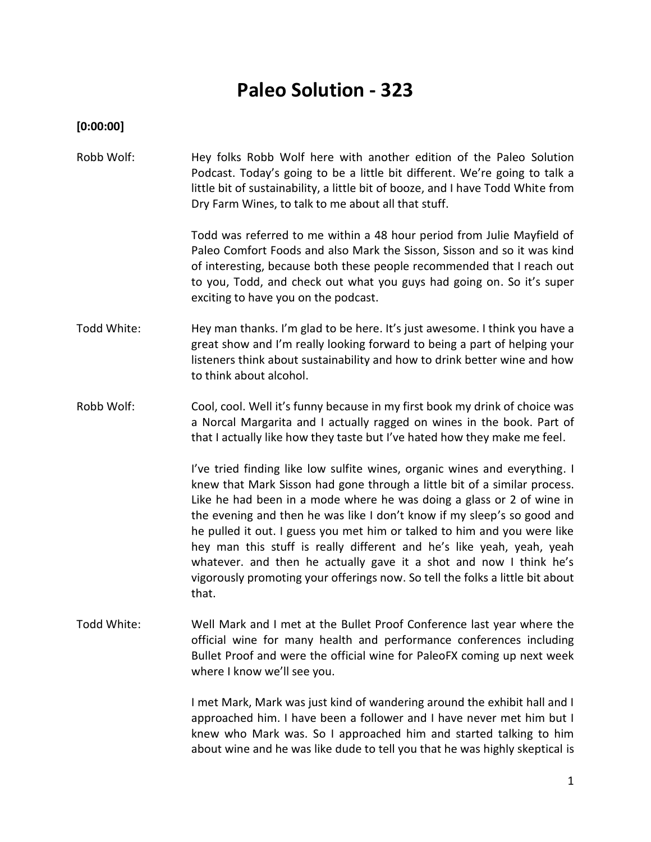# **Paleo Solution - 323**

**[0:00:00]**

Robb Wolf: Hey folks Robb Wolf here with another edition of the Paleo Solution Podcast. Today's going to be a little bit different. We're going to talk a little bit of sustainability, a little bit of booze, and I have Todd White from Dry Farm Wines, to talk to me about all that stuff.

> Todd was referred to me within a 48 hour period from Julie Mayfield of Paleo Comfort Foods and also Mark the Sisson, Sisson and so it was kind of interesting, because both these people recommended that I reach out to you, Todd, and check out what you guys had going on. So it's super exciting to have you on the podcast.

- Todd White: Hey man thanks. I'm glad to be here. It's just awesome. I think you have a great show and I'm really looking forward to being a part of helping your listeners think about sustainability and how to drink better wine and how to think about alcohol.
- Robb Wolf: Cool, cool. Well it's funny because in my first book my drink of choice was a Norcal Margarita and I actually ragged on wines in the book. Part of that I actually like how they taste but I've hated how they make me feel.

I've tried finding like low sulfite wines, organic wines and everything. I knew that Mark Sisson had gone through a little bit of a similar process. Like he had been in a mode where he was doing a glass or 2 of wine in the evening and then he was like I don't know if my sleep's so good and he pulled it out. I guess you met him or talked to him and you were like hey man this stuff is really different and he's like yeah, yeah, yeah whatever. and then he actually gave it a shot and now I think he's vigorously promoting your offerings now. So tell the folks a little bit about that.

Todd White: Well Mark and I met at the Bullet Proof Conference last year where the official wine for many health and performance conferences including Bullet Proof and were the official wine for PaleoFX coming up next week where I know we'll see you.

> I met Mark, Mark was just kind of wandering around the exhibit hall and I approached him. I have been a follower and I have never met him but I knew who Mark was. So I approached him and started talking to him about wine and he was like dude to tell you that he was highly skeptical is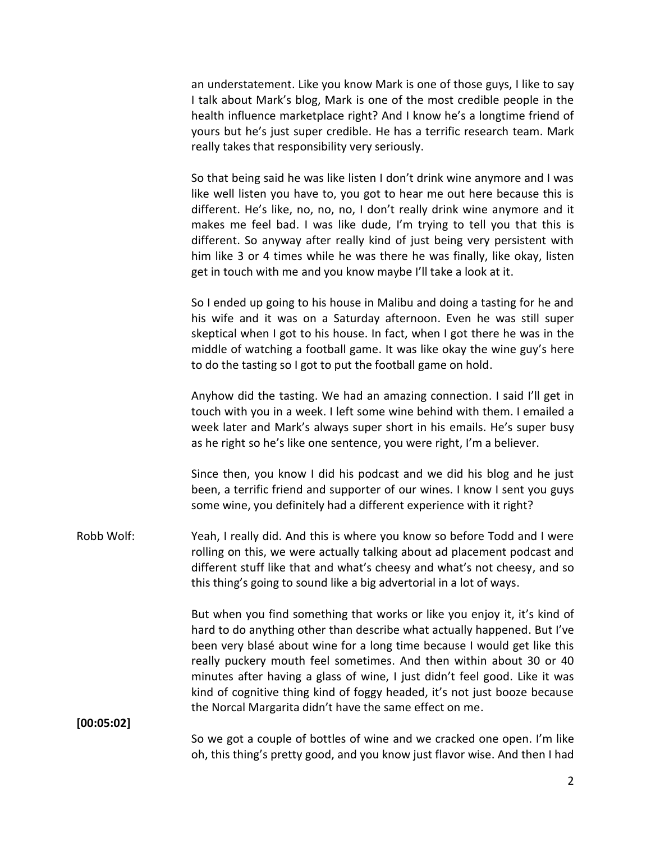an understatement. Like you know Mark is one of those guys, I like to say I talk about Mark's blog, Mark is one of the most credible people in the health influence marketplace right? And I know he's a longtime friend of yours but he's just super credible. He has a terrific research team. Mark really takes that responsibility very seriously.

So that being said he was like listen I don't drink wine anymore and I was like well listen you have to, you got to hear me out here because this is different. He's like, no, no, no, I don't really drink wine anymore and it makes me feel bad. I was like dude, I'm trying to tell you that this is different. So anyway after really kind of just being very persistent with him like 3 or 4 times while he was there he was finally, like okay, listen get in touch with me and you know maybe I'll take a look at it.

So I ended up going to his house in Malibu and doing a tasting for he and his wife and it was on a Saturday afternoon. Even he was still super skeptical when I got to his house. In fact, when I got there he was in the middle of watching a football game. It was like okay the wine guy's here to do the tasting so I got to put the football game on hold.

Anyhow did the tasting. We had an amazing connection. I said I'll get in touch with you in a week. I left some wine behind with them. I emailed a week later and Mark's always super short in his emails. He's super busy as he right so he's like one sentence, you were right, I'm a believer.

Since then, you know I did his podcast and we did his blog and he just been, a terrific friend and supporter of our wines. I know I sent you guys some wine, you definitely had a different experience with it right?

Robb Wolf: Yeah, I really did. And this is where you know so before Todd and I were rolling on this, we were actually talking about ad placement podcast and different stuff like that and what's cheesy and what's not cheesy, and so this thing's going to sound like a big advertorial in a lot of ways.

> But when you find something that works or like you enjoy it, it's kind of hard to do anything other than describe what actually happened. But I've been very blasé about wine for a long time because I would get like this really puckery mouth feel sometimes. And then within about 30 or 40 minutes after having a glass of wine, I just didn't feel good. Like it was kind of cognitive thing kind of foggy headed, it's not just booze because the Norcal Margarita didn't have the same effect on me.

**[00:05:02]**

So we got a couple of bottles of wine and we cracked one open. I'm like oh, this thing's pretty good, and you know just flavor wise. And then I had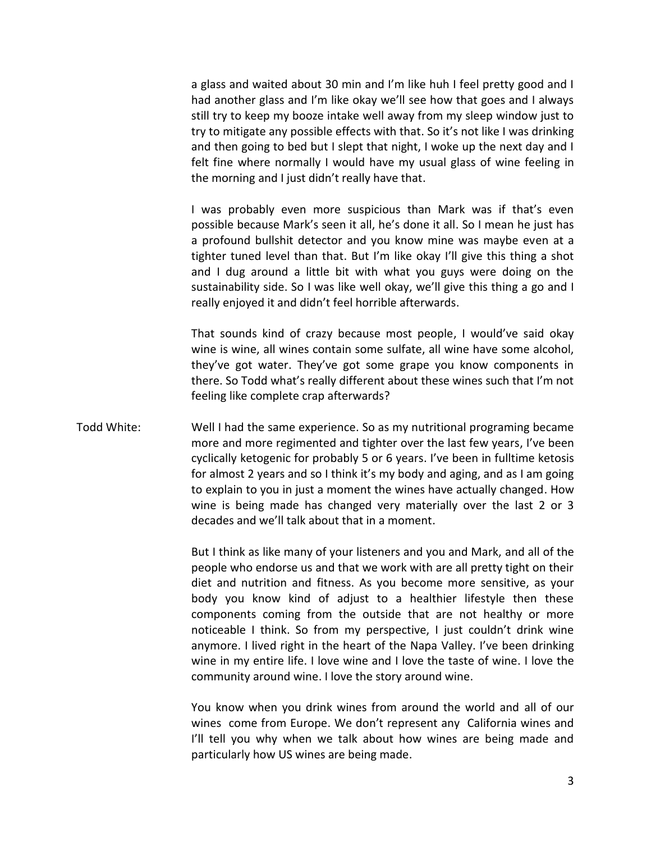a glass and waited about 30 min and I'm like huh I feel pretty good and I had another glass and I'm like okay we'll see how that goes and I always still try to keep my booze intake well away from my sleep window just to try to mitigate any possible effects with that. So it's not like I was drinking and then going to bed but I slept that night, I woke up the next day and I felt fine where normally I would have my usual glass of wine feeling in the morning and I just didn't really have that.

I was probably even more suspicious than Mark was if that's even possible because Mark's seen it all, he's done it all. So I mean he just has a profound bullshit detector and you know mine was maybe even at a tighter tuned level than that. But I'm like okay I'll give this thing a shot and I dug around a little bit with what you guys were doing on the sustainability side. So I was like well okay, we'll give this thing a go and I really enjoyed it and didn't feel horrible afterwards.

That sounds kind of crazy because most people, I would've said okay wine is wine, all wines contain some sulfate, all wine have some alcohol, they've got water. They've got some grape you know components in there. So Todd what's really different about these wines such that I'm not feeling like complete crap afterwards?

Todd White: Well I had the same experience. So as my nutritional programing became more and more regimented and tighter over the last few years, I've been cyclically ketogenic for probably 5 or 6 years. I've been in fulltime ketosis for almost 2 years and so I think it's my body and aging, and as I am going to explain to you in just a moment the wines have actually changed. How wine is being made has changed very materially over the last 2 or 3 decades and we'll talk about that in a moment.

> But I think as like many of your listeners and you and Mark, and all of the people who endorse us and that we work with are all pretty tight on their diet and nutrition and fitness. As you become more sensitive, as your body you know kind of adjust to a healthier lifestyle then these components coming from the outside that are not healthy or more noticeable I think. So from my perspective, I just couldn't drink wine anymore. I lived right in the heart of the Napa Valley. I've been drinking wine in my entire life. I love wine and I love the taste of wine. I love the community around wine. I love the story around wine.

> You know when you drink wines from around the world and all of our wines come from Europe. We don't represent any California wines and I'll tell you why when we talk about how wines are being made and particularly how US wines are being made.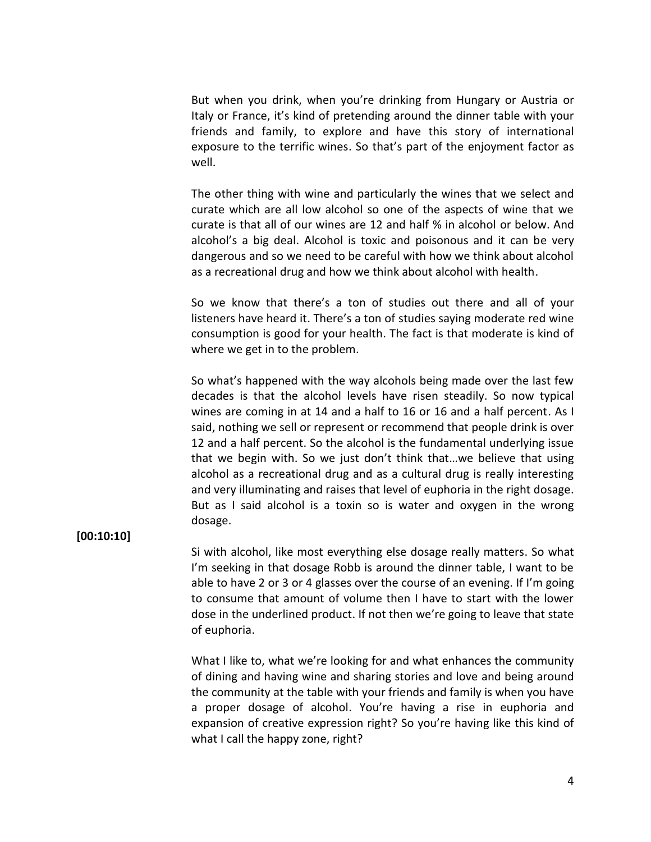But when you drink, when you're drinking from Hungary or Austria or Italy or France, it's kind of pretending around the dinner table with your friends and family, to explore and have this story of international exposure to the terrific wines. So that's part of the enjoyment factor as well.

The other thing with wine and particularly the wines that we select and curate which are all low alcohol so one of the aspects of wine that we curate is that all of our wines are 12 and half % in alcohol or below. And alcohol's a big deal. Alcohol is toxic and poisonous and it can be very dangerous and so we need to be careful with how we think about alcohol as a recreational drug and how we think about alcohol with health.

So we know that there's a ton of studies out there and all of your listeners have heard it. There's a ton of studies saying moderate red wine consumption is good for your health. The fact is that moderate is kind of where we get in to the problem.

So what's happened with the way alcohols being made over the last few decades is that the alcohol levels have risen steadily. So now typical wines are coming in at 14 and a half to 16 or 16 and a half percent. As I said, nothing we sell or represent or recommend that people drink is over 12 and a half percent. So the alcohol is the fundamental underlying issue that we begin with. So we just don't think that…we believe that using alcohol as a recreational drug and as a cultural drug is really interesting and very illuminating and raises that level of euphoria in the right dosage. But as I said alcohol is a toxin so is water and oxygen in the wrong dosage.

### **[00:10:10]**

Si with alcohol, like most everything else dosage really matters. So what I'm seeking in that dosage Robb is around the dinner table, I want to be able to have 2 or 3 or 4 glasses over the course of an evening. If I'm going to consume that amount of volume then I have to start with the lower dose in the underlined product. If not then we're going to leave that state of euphoria.

What I like to, what we're looking for and what enhances the community of dining and having wine and sharing stories and love and being around the community at the table with your friends and family is when you have a proper dosage of alcohol. You're having a rise in euphoria and expansion of creative expression right? So you're having like this kind of what I call the happy zone, right?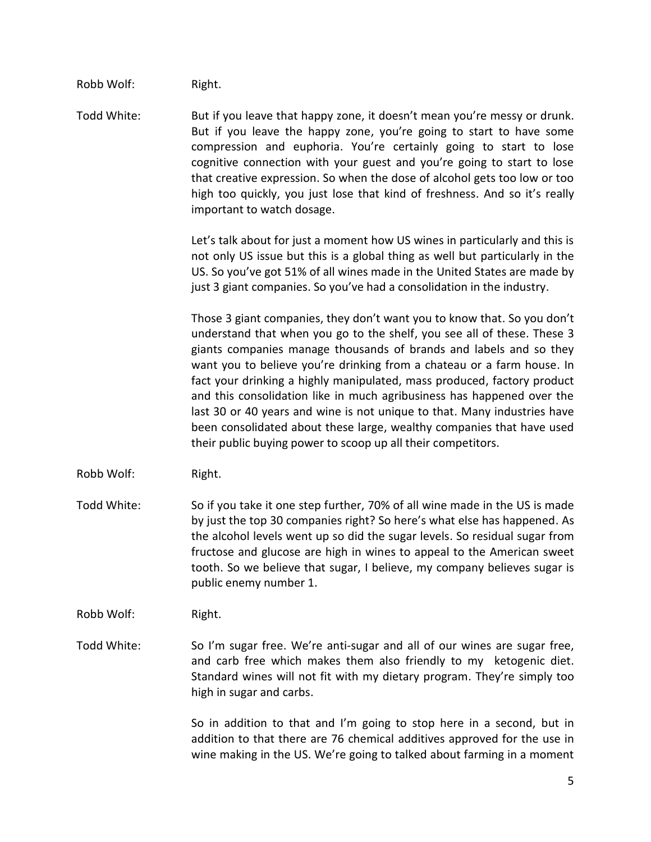Robb Wolf: Right.

Todd White: But if you leave that happy zone, it doesn't mean you're messy or drunk. But if you leave the happy zone, you're going to start to have some compression and euphoria. You're certainly going to start to lose cognitive connection with your guest and you're going to start to lose that creative expression. So when the dose of alcohol gets too low or too high too quickly, you just lose that kind of freshness. And so it's really important to watch dosage.

> Let's talk about for just a moment how US wines in particularly and this is not only US issue but this is a global thing as well but particularly in the US. So you've got 51% of all wines made in the United States are made by just 3 giant companies. So you've had a consolidation in the industry.

> Those 3 giant companies, they don't want you to know that. So you don't understand that when you go to the shelf, you see all of these. These 3 giants companies manage thousands of brands and labels and so they want you to believe you're drinking from a chateau or a farm house. In fact your drinking a highly manipulated, mass produced, factory product and this consolidation like in much agribusiness has happened over the last 30 or 40 years and wine is not unique to that. Many industries have been consolidated about these large, wealthy companies that have used their public buying power to scoop up all their competitors.

- Robb Wolf: Right.
- Todd White: So if you take it one step further, 70% of all wine made in the US is made by just the top 30 companies right? So here's what else has happened. As the alcohol levels went up so did the sugar levels. So residual sugar from fructose and glucose are high in wines to appeal to the American sweet tooth. So we believe that sugar, I believe, my company believes sugar is public enemy number 1.
- Robb Wolf: Right.
- Todd White: So I'm sugar free. We're anti-sugar and all of our wines are sugar free, and carb free which makes them also friendly to my ketogenic diet. Standard wines will not fit with my dietary program. They're simply too high in sugar and carbs.

So in addition to that and I'm going to stop here in a second, but in addition to that there are 76 chemical additives approved for the use in wine making in the US. We're going to talked about farming in a moment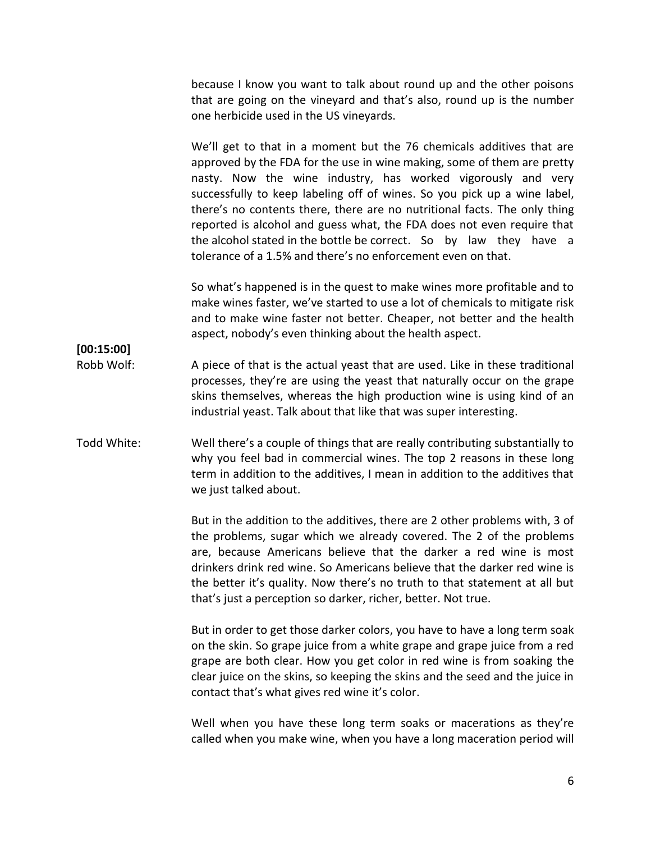because I know you want to talk about round up and the other poisons that are going on the vineyard and that's also, round up is the number one herbicide used in the US vineyards.

We'll get to that in a moment but the 76 chemicals additives that are approved by the FDA for the use in wine making, some of them are pretty nasty. Now the wine industry, has worked vigorously and very successfully to keep labeling off of wines. So you pick up a wine label, there's no contents there, there are no nutritional facts. The only thing reported is alcohol and guess what, the FDA does not even require that the alcohol stated in the bottle be correct. So by law they have a tolerance of a 1.5% and there's no enforcement even on that.

So what's happened is in the quest to make wines more profitable and to make wines faster, we've started to use a lot of chemicals to mitigate risk and to make wine faster not better. Cheaper, not better and the health aspect, nobody's even thinking about the health aspect.

Robb Wolf: A piece of that is the actual yeast that are used. Like in these traditional processes, they're are using the yeast that naturally occur on the grape skins themselves, whereas the high production wine is using kind of an industrial yeast. Talk about that like that was super interesting.

**[00:15:00]**

## Todd White: Well there's a couple of things that are really contributing substantially to why you feel bad in commercial wines. The top 2 reasons in these long term in addition to the additives, I mean in addition to the additives that we just talked about.

But in the addition to the additives, there are 2 other problems with, 3 of the problems, sugar which we already covered. The 2 of the problems are, because Americans believe that the darker a red wine is most drinkers drink red wine. So Americans believe that the darker red wine is the better it's quality. Now there's no truth to that statement at all but that's just a perception so darker, richer, better. Not true.

But in order to get those darker colors, you have to have a long term soak on the skin. So grape juice from a white grape and grape juice from a red grape are both clear. How you get color in red wine is from soaking the clear juice on the skins, so keeping the skins and the seed and the juice in contact that's what gives red wine it's color.

Well when you have these long term soaks or macerations as they're called when you make wine, when you have a long maceration period will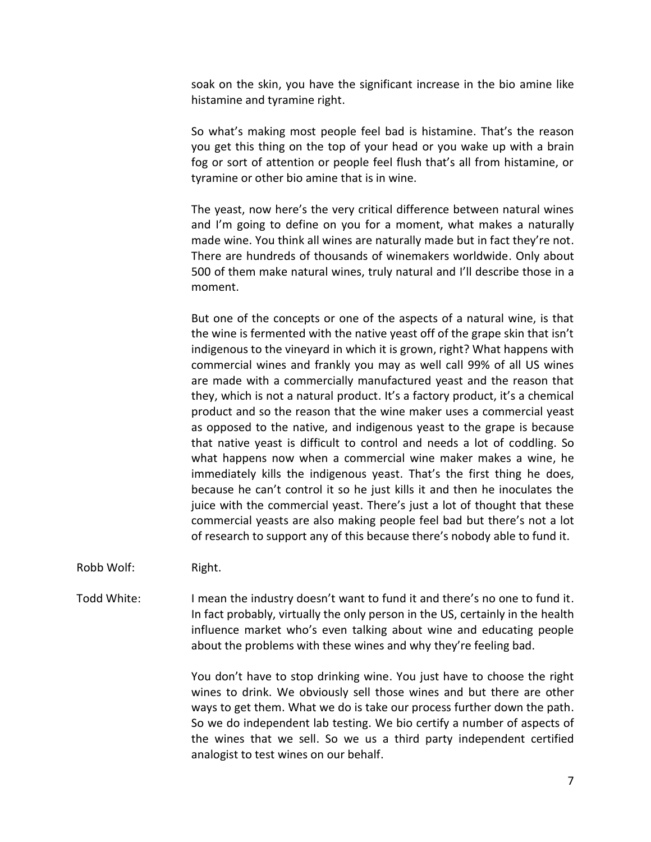soak on the skin, you have the significant increase in the bio amine like histamine and tyramine right.

So what's making most people feel bad is histamine. That's the reason you get this thing on the top of your head or you wake up with a brain fog or sort of attention or people feel flush that's all from histamine, or tyramine or other bio amine that is in wine.

The yeast, now here's the very critical difference between natural wines and I'm going to define on you for a moment, what makes a naturally made wine. You think all wines are naturally made but in fact they're not. There are hundreds of thousands of winemakers worldwide. Only about 500 of them make natural wines, truly natural and I'll describe those in a moment.

But one of the concepts or one of the aspects of a natural wine, is that the wine is fermented with the native yeast off of the grape skin that isn't indigenous to the vineyard in which it is grown, right? What happens with commercial wines and frankly you may as well call 99% of all US wines are made with a commercially manufactured yeast and the reason that they, which is not a natural product. It's a factory product, it's a chemical product and so the reason that the wine maker uses a commercial yeast as opposed to the native, and indigenous yeast to the grape is because that native yeast is difficult to control and needs a lot of coddling. So what happens now when a commercial wine maker makes a wine, he immediately kills the indigenous yeast. That's the first thing he does, because he can't control it so he just kills it and then he inoculates the juice with the commercial yeast. There's just a lot of thought that these commercial yeasts are also making people feel bad but there's not a lot of research to support any of this because there's nobody able to fund it.

Robb Wolf: Right.

Todd White: I mean the industry doesn't want to fund it and there's no one to fund it. In fact probably, virtually the only person in the US, certainly in the health influence market who's even talking about wine and educating people about the problems with these wines and why they're feeling bad.

> You don't have to stop drinking wine. You just have to choose the right wines to drink. We obviously sell those wines and but there are other ways to get them. What we do is take our process further down the path. So we do independent lab testing. We bio certify a number of aspects of the wines that we sell. So we us a third party independent certified analogist to test wines on our behalf.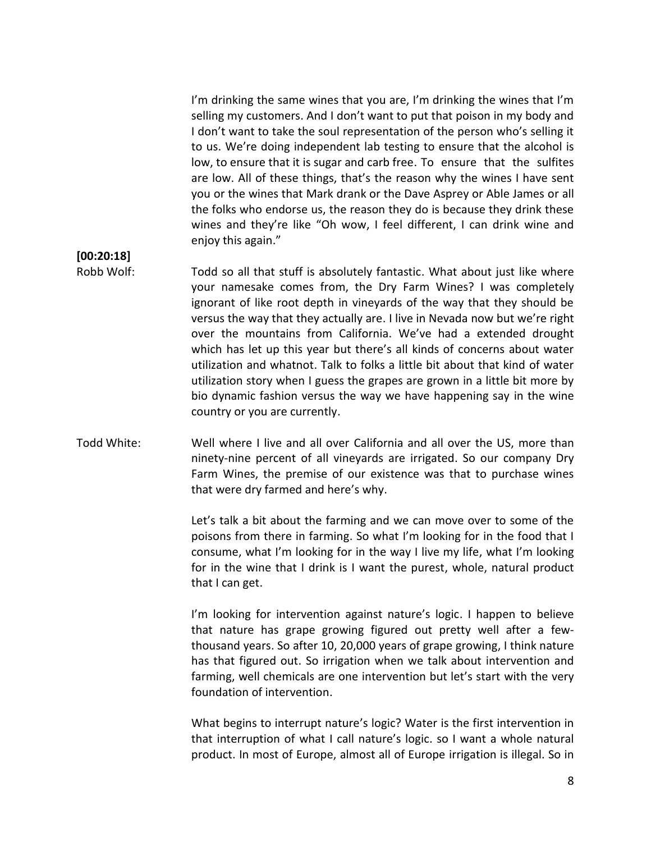I'm drinking the same wines that you are, I'm drinking the wines that I'm selling my customers. And I don't want to put that poison in my body and I don't want to take the soul representation of the person who's selling it to us. We're doing independent lab testing to ensure that the alcohol is low, to ensure that it is sugar and carb free. To ensure that the sulfites are low. All of these things, that's the reason why the wines I have sent you or the wines that Mark drank or the Dave Asprey or Able James or all the folks who endorse us, the reason they do is because they drink these wines and they're like "Oh wow, I feel different, I can drink wine and enjoy this again."

**[00:20:18]**

Robb Wolf: Todd so all that stuff is absolutely fantastic. What about just like where your namesake comes from, the Dry Farm Wines? I was completely ignorant of like root depth in vineyards of the way that they should be versus the way that they actually are. I live in Nevada now but we're right over the mountains from California. We've had a extended drought which has let up this year but there's all kinds of concerns about water utilization and whatnot. Talk to folks a little bit about that kind of water utilization story when I guess the grapes are grown in a little bit more by bio dynamic fashion versus the way we have happening say in the wine country or you are currently.

## Todd White: Well where I live and all over California and all over the US, more than ninety-nine percent of all vineyards are irrigated. So our company Dry Farm Wines, the premise of our existence was that to purchase wines that were dry farmed and here's why.

Let's talk a bit about the farming and we can move over to some of the poisons from there in farming. So what I'm looking for in the food that I consume, what I'm looking for in the way I live my life, what I'm looking for in the wine that I drink is I want the purest, whole, natural product that I can get.

I'm looking for intervention against nature's logic. I happen to believe that nature has grape growing figured out pretty well after a fewthousand years. So after 10, 20,000 years of grape growing, I think nature has that figured out. So irrigation when we talk about intervention and farming, well chemicals are one intervention but let's start with the very foundation of intervention.

What begins to interrupt nature's logic? Water is the first intervention in that interruption of what I call nature's logic. so I want a whole natural product. In most of Europe, almost all of Europe irrigation is illegal. So in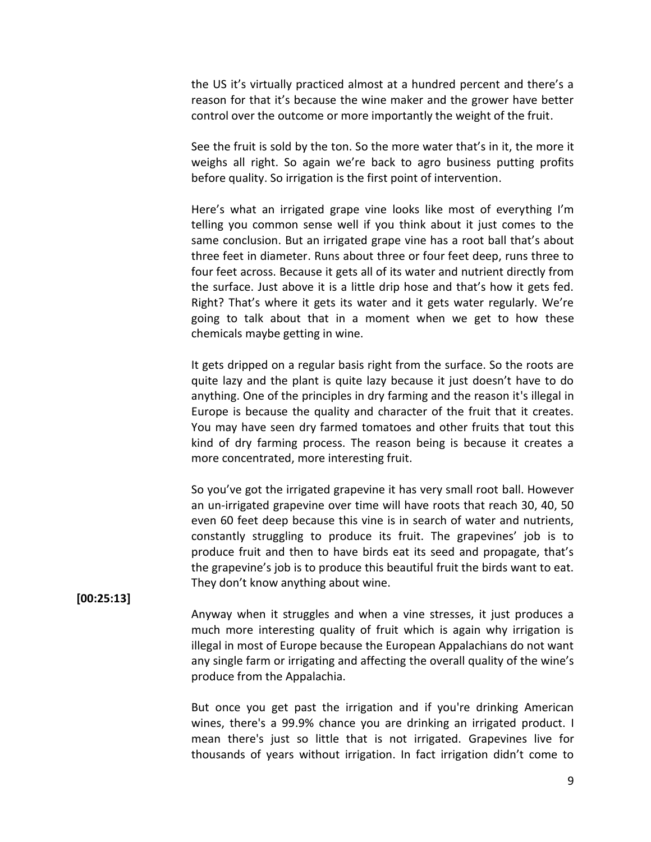the US it's virtually practiced almost at a hundred percent and there's a reason for that it's because the wine maker and the grower have better control over the outcome or more importantly the weight of the fruit.

See the fruit is sold by the ton. So the more water that's in it, the more it weighs all right. So again we're back to agro business putting profits before quality. So irrigation is the first point of intervention.

Here's what an irrigated grape vine looks like most of everything I'm telling you common sense well if you think about it just comes to the same conclusion. But an irrigated grape vine has a root ball that's about three feet in diameter. Runs about three or four feet deep, runs three to four feet across. Because it gets all of its water and nutrient directly from the surface. Just above it is a little drip hose and that's how it gets fed. Right? That's where it gets its water and it gets water regularly. We're going to talk about that in a moment when we get to how these chemicals maybe getting in wine.

It gets dripped on a regular basis right from the surface. So the roots are quite lazy and the plant is quite lazy because it just doesn't have to do anything. One of the principles in dry farming and the reason it's illegal in Europe is because the quality and character of the fruit that it creates. You may have seen dry farmed tomatoes and other fruits that tout this kind of dry farming process. The reason being is because it creates a more concentrated, more interesting fruit.

So you've got the irrigated grapevine it has very small root ball. However an un-irrigated grapevine over time will have roots that reach 30, 40, 50 even 60 feet deep because this vine is in search of water and nutrients, constantly struggling to produce its fruit. The grapevines' job is to produce fruit and then to have birds eat its seed and propagate, that's the grapevine's job is to produce this beautiful fruit the birds want to eat. They don't know anything about wine.

#### **[00:25:13]**

Anyway when it struggles and when a vine stresses, it just produces a much more interesting quality of fruit which is again why irrigation is illegal in most of Europe because the European Appalachians do not want any single farm or irrigating and affecting the overall quality of the wine's produce from the Appalachia.

But once you get past the irrigation and if you're drinking American wines, there's a 99.9% chance you are drinking an irrigated product. I mean there's just so little that is not irrigated. Grapevines live for thousands of years without irrigation. In fact irrigation didn't come to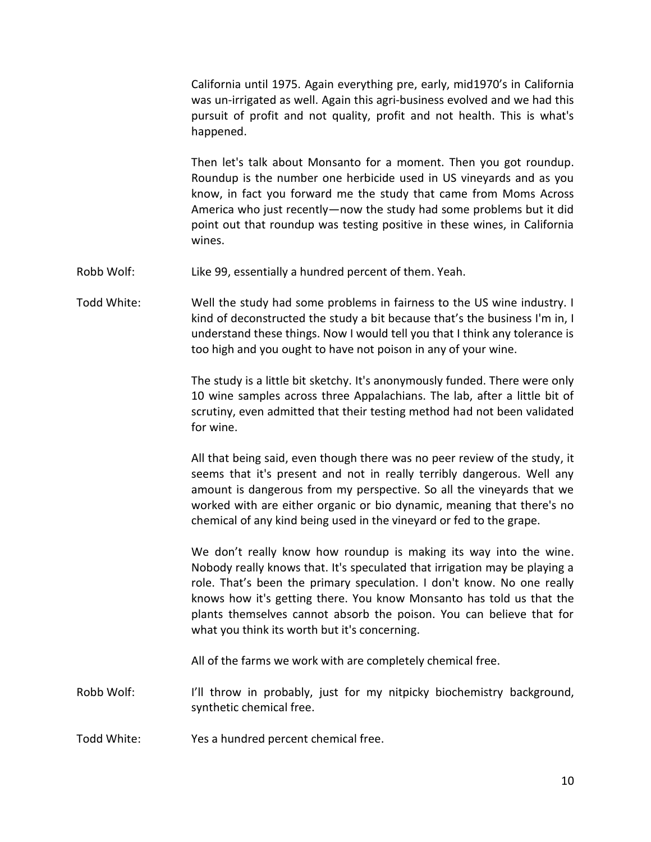California until 1975. Again everything pre, early, mid1970's in California was un-irrigated as well. Again this agri-business evolved and we had this pursuit of profit and not quality, profit and not health. This is what's happened.

Then let's talk about Monsanto for a moment. Then you got roundup. Roundup is the number one herbicide used in US vineyards and as you know, in fact you forward me the study that came from Moms Across America who just recently—now the study had some problems but it did point out that roundup was testing positive in these wines, in California wines.

Robb Wolf: Like 99, essentially a hundred percent of them. Yeah.

Todd White: Well the study had some problems in fairness to the US wine industry. I kind of deconstructed the study a bit because that's the business I'm in, I understand these things. Now I would tell you that I think any tolerance is too high and you ought to have not poison in any of your wine.

> The study is a little bit sketchy. It's anonymously funded. There were only 10 wine samples across three Appalachians. The lab, after a little bit of scrutiny, even admitted that their testing method had not been validated for wine.

> All that being said, even though there was no peer review of the study, it seems that it's present and not in really terribly dangerous. Well any amount is dangerous from my perspective. So all the vineyards that we worked with are either organic or bio dynamic, meaning that there's no chemical of any kind being used in the vineyard or fed to the grape.

> We don't really know how roundup is making its way into the wine. Nobody really knows that. It's speculated that irrigation may be playing a role. That's been the primary speculation. I don't know. No one really knows how it's getting there. You know Monsanto has told us that the plants themselves cannot absorb the poison. You can believe that for what you think its worth but it's concerning.

All of the farms we work with are completely chemical free.

Robb Wolf: I'll throw in probably, just for my nitpicky biochemistry background, synthetic chemical free.

Todd White: Yes a hundred percent chemical free.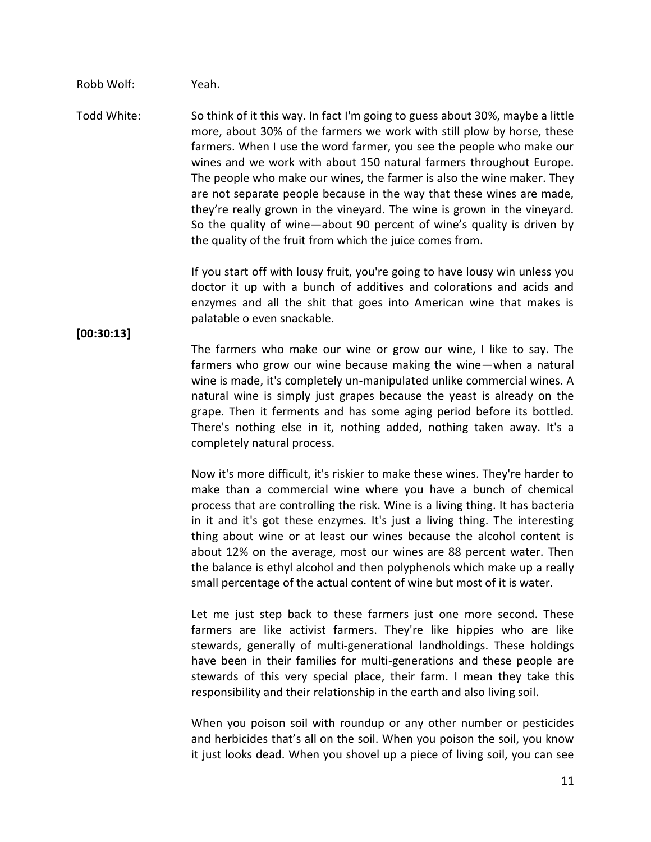#### Robb Wolf: Yeah.

Todd White: So think of it this way. In fact I'm going to guess about 30%, maybe a little more, about 30% of the farmers we work with still plow by horse, these farmers. When I use the word farmer, you see the people who make our wines and we work with about 150 natural farmers throughout Europe. The people who make our wines, the farmer is also the wine maker. They are not separate people because in the way that these wines are made, they're really grown in the vineyard. The wine is grown in the vineyard. So the quality of wine—about 90 percent of wine's quality is driven by the quality of the fruit from which the juice comes from.

> If you start off with lousy fruit, you're going to have lousy win unless you doctor it up with a bunch of additives and colorations and acids and enzymes and all the shit that goes into American wine that makes is palatable o even snackable.

#### **[00:30:13]**

The farmers who make our wine or grow our wine, I like to say. The farmers who grow our wine because making the wine—when a natural wine is made, it's completely un-manipulated unlike commercial wines. A natural wine is simply just grapes because the yeast is already on the grape. Then it ferments and has some aging period before its bottled. There's nothing else in it, nothing added, nothing taken away. It's a completely natural process.

Now it's more difficult, it's riskier to make these wines. They're harder to make than a commercial wine where you have a bunch of chemical process that are controlling the risk. Wine is a living thing. It has bacteria in it and it's got these enzymes. It's just a living thing. The interesting thing about wine or at least our wines because the alcohol content is about 12% on the average, most our wines are 88 percent water. Then the balance is ethyl alcohol and then polyphenols which make up a really small percentage of the actual content of wine but most of it is water.

Let me just step back to these farmers just one more second. These farmers are like activist farmers. They're like hippies who are like stewards, generally of multi-generational landholdings. These holdings have been in their families for multi-generations and these people are stewards of this very special place, their farm. I mean they take this responsibility and their relationship in the earth and also living soil.

When you poison soil with roundup or any other number or pesticides and herbicides that's all on the soil. When you poison the soil, you know it just looks dead. When you shovel up a piece of living soil, you can see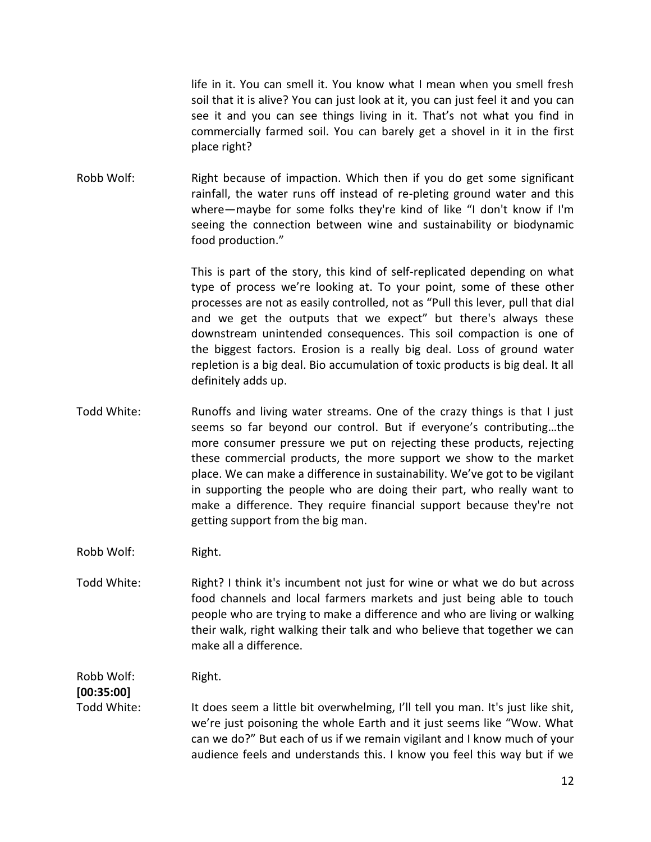life in it. You can smell it. You know what I mean when you smell fresh soil that it is alive? You can just look at it, you can just feel it and you can see it and you can see things living in it. That's not what you find in commercially farmed soil. You can barely get a shovel in it in the first place right?

Robb Wolf: Right because of impaction. Which then if you do get some significant rainfall, the water runs off instead of re-pleting ground water and this where—maybe for some folks they're kind of like "I don't know if I'm seeing the connection between wine and sustainability or biodynamic food production."

> This is part of the story, this kind of self-replicated depending on what type of process we're looking at. To your point, some of these other processes are not as easily controlled, not as "Pull this lever, pull that dial and we get the outputs that we expect" but there's always these downstream unintended consequences. This soil compaction is one of the biggest factors. Erosion is a really big deal. Loss of ground water repletion is a big deal. Bio accumulation of toxic products is big deal. It all definitely adds up.

- Todd White: Runoffs and living water streams. One of the crazy things is that I just seems so far beyond our control. But if everyone's contributing…the more consumer pressure we put on rejecting these products, rejecting these commercial products, the more support we show to the market place. We can make a difference in sustainability. We've got to be vigilant in supporting the people who are doing their part, who really want to make a difference. They require financial support because they're not getting support from the big man.
- Robb Wolf: Right.
- Todd White: Right? I think it's incumbent not just for wine or what we do but across food channels and local farmers markets and just being able to touch people who are trying to make a difference and who are living or walking their walk, right walking their talk and who believe that together we can make all a difference.

Robb Wolf: Right.

## **[00:35:00]**

Todd White: It does seem a little bit overwhelming, I'll tell you man. It's just like shit, we're just poisoning the whole Earth and it just seems like "Wow. What can we do?" But each of us if we remain vigilant and I know much of your audience feels and understands this. I know you feel this way but if we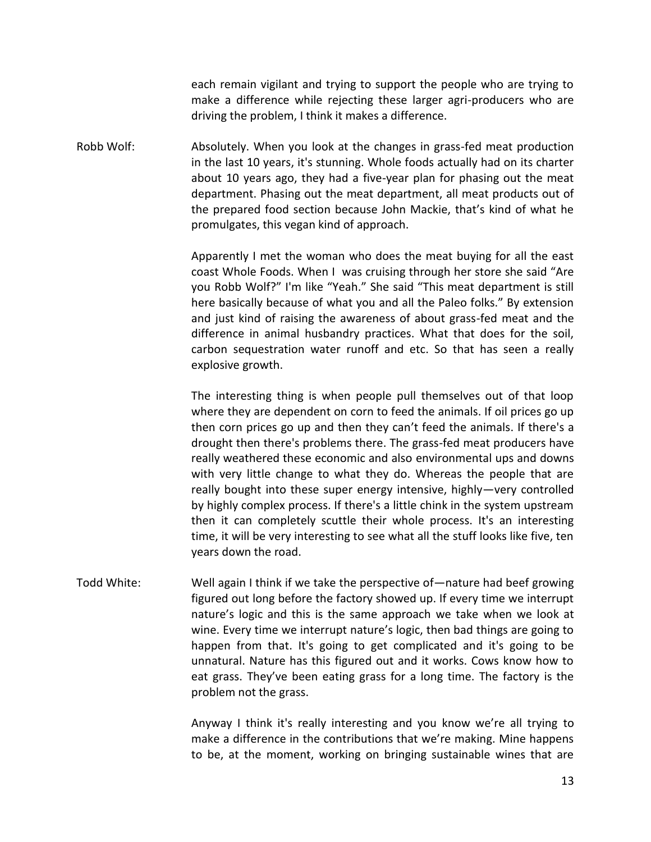each remain vigilant and trying to support the people who are trying to make a difference while rejecting these larger agri-producers who are driving the problem, I think it makes a difference.

Robb Wolf: Absolutely. When you look at the changes in grass-fed meat production in the last 10 years, it's stunning. Whole foods actually had on its charter about 10 years ago, they had a five-year plan for phasing out the meat department. Phasing out the meat department, all meat products out of the prepared food section because John Mackie, that's kind of what he promulgates, this vegan kind of approach.

> Apparently I met the woman who does the meat buying for all the east coast Whole Foods. When I was cruising through her store she said "Are you Robb Wolf?" I'm like "Yeah." She said "This meat department is still here basically because of what you and all the Paleo folks." By extension and just kind of raising the awareness of about grass-fed meat and the difference in animal husbandry practices. What that does for the soil, carbon sequestration water runoff and etc. So that has seen a really explosive growth.

> The interesting thing is when people pull themselves out of that loop where they are dependent on corn to feed the animals. If oil prices go up then corn prices go up and then they can't feed the animals. If there's a drought then there's problems there. The grass-fed meat producers have really weathered these economic and also environmental ups and downs with very little change to what they do. Whereas the people that are really bought into these super energy intensive, highly—very controlled by highly complex process. If there's a little chink in the system upstream then it can completely scuttle their whole process. It's an interesting time, it will be very interesting to see what all the stuff looks like five, ten years down the road.

Todd White: Well again I think if we take the perspective of—nature had beef growing figured out long before the factory showed up. If every time we interrupt nature's logic and this is the same approach we take when we look at wine. Every time we interrupt nature's logic, then bad things are going to happen from that. It's going to get complicated and it's going to be unnatural. Nature has this figured out and it works. Cows know how to eat grass. They've been eating grass for a long time. The factory is the problem not the grass.

> Anyway I think it's really interesting and you know we're all trying to make a difference in the contributions that we're making. Mine happens to be, at the moment, working on bringing sustainable wines that are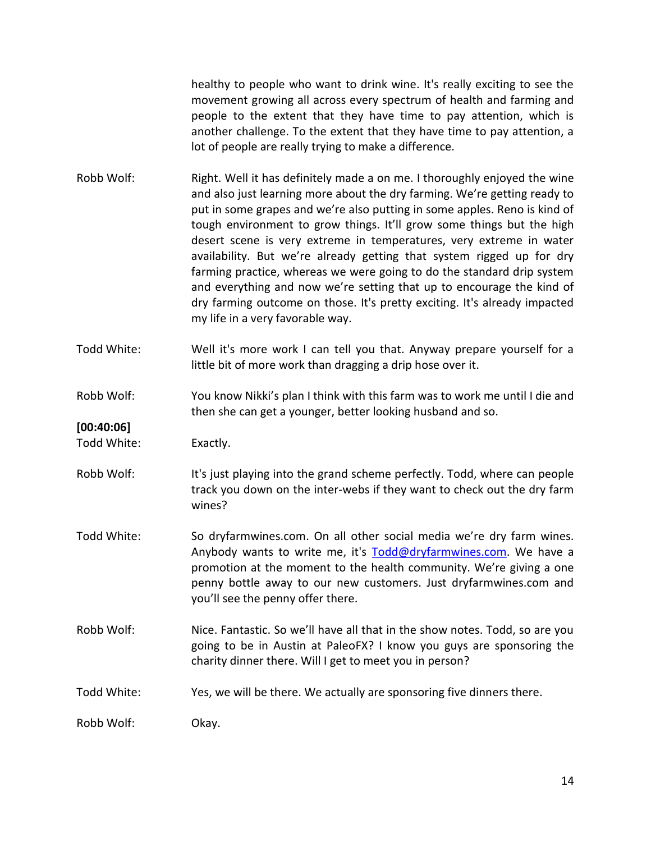healthy to people who want to drink wine. It's really exciting to see the movement growing all across every spectrum of health and farming and people to the extent that they have time to pay attention, which is another challenge. To the extent that they have time to pay attention, a lot of people are really trying to make a difference.

- Robb Wolf: Right. Well it has definitely made a on me. I thoroughly enjoyed the wine and also just learning more about the dry farming. We're getting ready to put in some grapes and we're also putting in some apples. Reno is kind of tough environment to grow things. It'll grow some things but the high desert scene is very extreme in temperatures, very extreme in water availability. But we're already getting that system rigged up for dry farming practice, whereas we were going to do the standard drip system and everything and now we're setting that up to encourage the kind of dry farming outcome on those. It's pretty exciting. It's already impacted my life in a very favorable way.
- Todd White: Well it's more work I can tell you that. Anyway prepare yourself for a little bit of more work than dragging a drip hose over it.
- Robb Wolf: You know Nikki's plan I think with this farm was to work me until I die and then she can get a younger, better looking husband and so.

**[00:40:06]**

Todd White: Exactly.

- Robb Wolf: It's just playing into the grand scheme perfectly. Todd, where can people track you down on the inter-webs if they want to check out the dry farm wines?
- Todd White: So dryfarmwines.com. On all other social media we're dry farm wines. Anybody wants to write me, it's [Todd@dryfarmwines.com.](mailto:Todd@dryfarmwines.com) We have a promotion at the moment to the health community. We're giving a one penny bottle away to our new customers. Just dryfarmwines.com and you'll see the penny offer there.
- Robb Wolf: Nice. Fantastic. So we'll have all that in the show notes. Todd, so are you going to be in Austin at PaleoFX? I know you guys are sponsoring the charity dinner there. Will I get to meet you in person?
- Todd White: Yes, we will be there. We actually are sponsoring five dinners there.

Robb Wolf: Okay.